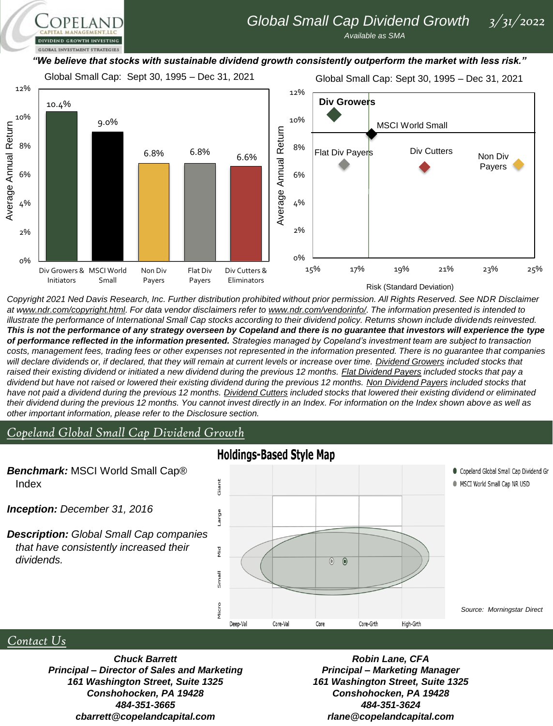# *Global Small Cap Dividend Growth 3/31/2022*

*Available as SMA*

### *"We believe that stocks with sustainable dividend growth consistently outperform the market with less risk."*



*Copyright 2021 Ned Davis Research, Inc. Further distribution prohibited without prior permission. All Rights Reserved. See NDR Disclaimer at www.ndr.com/copyright.html. For data vendor disclaimers refer to www.ndr.com/vendorinfo/. The information presented is intended to*  illustrate the performance of International Small Cap stocks according to their dividend policy. Returns shown include dividends reinvested. *This is not the performance of any strategy overseen by Copeland and there is no guarantee that investors will experience the type of performance reflected in the information presented. Strategies managed by Copeland's investment team are subject to transaction costs, management fees, trading fees or other expenses not represented in the information presented. There is no guarantee that companies will declare dividends or, if declared, that they will remain at current levels or increase over time. Dividend Growers included stocks that*  raised their existing dividend or initiated a new dividend during the previous 12 months. **Flat Dividend Payers** included stocks that pay a *dividend but have not raised or lowered their existing dividend during the previous 12 months. Non Dividend Payers included stocks that have not paid a dividend during the previous 12 months. Dividend Cutters included stocks that lowered their existing dividend or eliminated their dividend during the previous 12 months. You cannot invest directly in an Index. For information on the Index shown above as well as other important information, please refer to the Disclosure section.*

## *Copeland Global Small Cap Dividend Growth*

PELAND

**GLOBAL INVESTMENT STRATEGIES** 



## *Contact Us*

*Chuck Barrett Principal – Director of Sales and Marketing 161 Washington Street, Suite 1325 Conshohocken, PA 19428 484-351-3665 cbarrett@copelandcapital.com*

*Robin Lane, CFA Principal – Marketing Manager 161 Washington Street, Suite 1325 Conshohocken, PA 19428 484-351-3624 rlane@copelandcapital.com*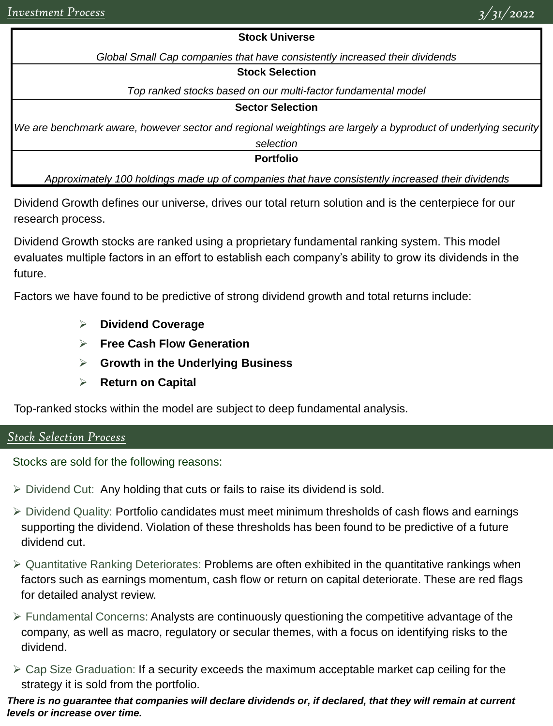## **Stock Universe**

*Global Small Cap companies that have consistently increased their dividends*

## **Stock Selection**

*Top ranked stocks based on our multi-factor fundamental model*

## **Sector Selection**

*We are benchmark aware, however sector and regional weightings are largely a byproduct of underlying security* 

*selection*

**Portfolio**

*Approximately 100 holdings made up of companies that have consistently increased their dividends*

Dividend Growth defines our universe, drives our total return solution and is the centerpiece for our research process.

Dividend Growth stocks are ranked using a proprietary fundamental ranking system. This model evaluates multiple factors in an effort to establish each company's ability to grow its dividends in the future.

Factors we have found to be predictive of strong dividend growth and total returns include:

- ➢ **Dividend Coverage**
- ➢ **Free Cash Flow Generation**
- ➢ **Growth in the Underlying Business**
- ➢ **Return on Capital**

Top-ranked stocks within the model are subject to deep fundamental analysis.

## *Stock Selection Process*

Stocks are sold for the following reasons:

- ➢ Dividend Cut: Any holding that cuts or fails to raise its dividend is sold.
- ➢ Dividend Quality: Portfolio candidates must meet minimum thresholds of cash flows and earnings supporting the dividend. Violation of these thresholds has been found to be predictive of a future dividend cut.
- ➢ Quantitative Ranking Deteriorates: Problems are often exhibited in the quantitative rankings when factors such as earnings momentum, cash flow or return on capital deteriorate. These are red flags for detailed analyst review.
- ➢ Fundamental Concerns: Analysts are continuously questioning the competitive advantage of the company, as well as macro, regulatory or secular themes, with a focus on identifying risks to the dividend.
- $\triangleright$  Cap Size Graduation: If a security exceeds the maximum acceptable market cap ceiling for the strategy it is sold from the portfolio.

## *There is no guarantee that companies will declare dividends or, if declared, that they will remain at current levels or increase over time.*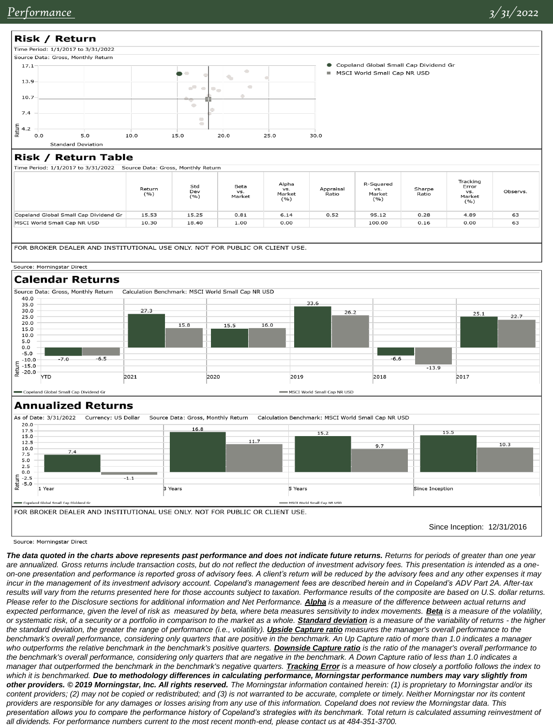

Time Period: 1/1/2017 to 3/31/2022 Source Data: Gross, Monthly Return

| Std<br>Dev<br>(9/6)             | Beta<br>VS.<br>Market | VS.<br>Market<br>(9/6) | Appraisal<br>Ratio | VS.<br>Market<br>( %) | Sharpe<br>Ratio | Error<br>VS.<br>Market<br>(%) | Observs.                       |
|---------------------------------|-----------------------|------------------------|--------------------|-----------------------|-----------------|-------------------------------|--------------------------------|
| 15.25                           | 0.81                  | 6.14                   | 0.52               | 95.12                 | 0.28            | 4.89                          | 63                             |
| 18.40                           | 1.00                  | 0.00                   |                    | 100.00                | 0.16            | 0.00                          | 63                             |
| Return<br>(%)<br>15.53<br>10.30 |                       |                        |                    |                       |                 |                               | Tracking<br>Alpha<br>R-Squared |

FOR BROKER DEALER AND INSTITUTIONAL USE ONLY. NOT FOR PUBLIC OR CLIENT USE.

#### Source: Morningstar Direct

## **Calendar Returns**



Copeland Global Small Cap Dividend G

#### Annualized Returns



Source: Morningstar Direct

*The data quoted in the charts above represents past performance and does not indicate future returns. Returns for periods of greater than one year are annualized. Gross returns include transaction costs, but do not reflect the deduction of investment advisory fees. This presentation is intended as a oneon-one presentation and performance is reported gross of advisory fees. A client's return will be reduced by the advisory fees and any other expenses it may incur in the management of its investment advisory account. Copeland's management fees are described herein and in Copeland's ADV Part 2A. After-tax*  results will vary from the returns presented here for those accounts subject to taxation. Performance results of the composite are based on U.S. dollar returns. Please refer to the Disclosure sections for additional information and Net Performance. **Alpha** is a measure of the difference between actual returns and expected performance, given the level of risk as measured by beta, where beta measures sensitivity to index movements. **Beta** is a measure of the volatility, *or systematic risk, of a security or a portfolio in comparison to the market as a whole. Standard deviation is a measure of the variability of returns - the higher*  the standard deviation, the greater the range of performance (i.e., volatility). *Upside Capture ratio* measures the manager's overall performance to the benchmark's overall performance, considering only quarters that are positive in the benchmark. An Up Capture ratio of more than 1.0 indicates a manager *who outperforms the relative benchmark in the benchmark's positive quarters. Downside Capture ratio is the ratio of the manager's overall performance to*  the benchmark's overall performance, considering only quarters that are negative in the benchmark. A Down Capture ratio of less than 1.0 indicates a *manager that outperformed the benchmark in the benchmark's negative quarters. <i>Tracking Error* is a measure of how closely a portfolio follows the index to *which it is benchmarked. Due to methodology differences in calculating performance, Morningstar performance numbers may vary slightly from other providers. © 2019 Morningstar, Inc. All rights reserved. The Morningstar information contained herein: (1) is proprietary to Morningstar and/or its content providers; (2) may not be copied or redistributed; and (3) is not warranted to be accurate, complete or timely. Neither Morningstar nor its content providers are responsible for any damages or losses arising from any use of this information. Copeland does not review the Morningstar data. This presentation allows you to compare the performance history of Copeland's strategies with its benchmark. Total return is calculated assuming reinvestment of all dividends. For performance numbers current to the most recent month-end, please contact us at 484-351-3700.*